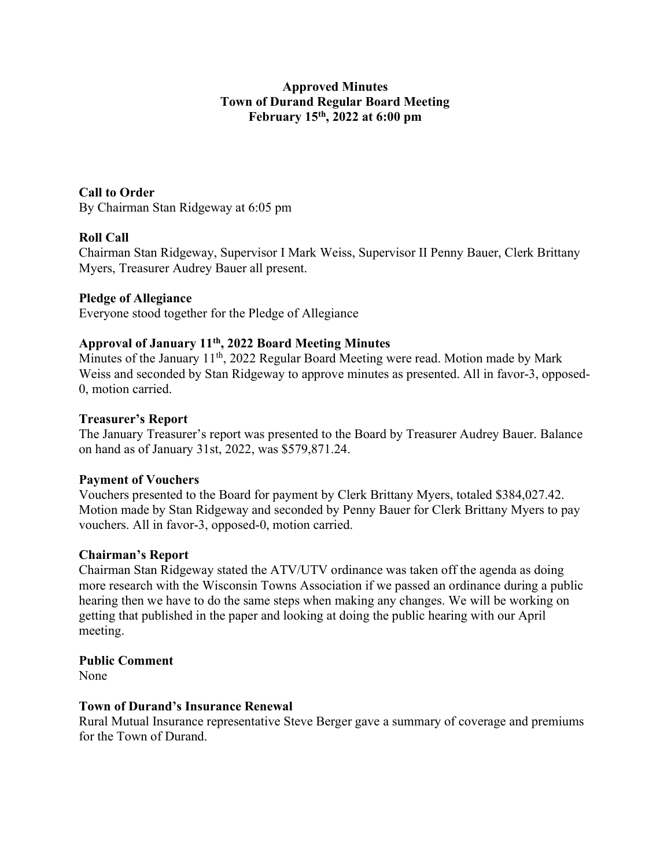# Approved Minutes Town of Durand Regular Board Meeting February 15th, 2022 at 6:00 pm

Call to Order By Chairman Stan Ridgeway at 6:05 pm

# Roll Call

Chairman Stan Ridgeway, Supervisor I Mark Weiss, Supervisor II Penny Bauer, Clerk Brittany Myers, Treasurer Audrey Bauer all present.

# Pledge of Allegiance

Everyone stood together for the Pledge of Allegiance

# Approval of January 11th, 2022 Board Meeting Minutes

Minutes of the January 11<sup>th</sup>, 2022 Regular Board Meeting were read. Motion made by Mark Weiss and seconded by Stan Ridgeway to approve minutes as presented. All in favor-3, opposed-0, motion carried.

## Treasurer's Report

The January Treasurer's report was presented to the Board by Treasurer Audrey Bauer. Balance on hand as of January 31st, 2022, was \$579,871.24.

## Payment of Vouchers

Vouchers presented to the Board for payment by Clerk Brittany Myers, totaled \$384,027.42. Motion made by Stan Ridgeway and seconded by Penny Bauer for Clerk Brittany Myers to pay vouchers. All in favor-3, opposed-0, motion carried.

## Chairman's Report

Chairman Stan Ridgeway stated the ATV/UTV ordinance was taken off the agenda as doing more research with the Wisconsin Towns Association if we passed an ordinance during a public hearing then we have to do the same steps when making any changes. We will be working on getting that published in the paper and looking at doing the public hearing with our April meeting.

Public Comment

None

## Town of Durand's Insurance Renewal

Rural Mutual Insurance representative Steve Berger gave a summary of coverage and premiums for the Town of Durand.